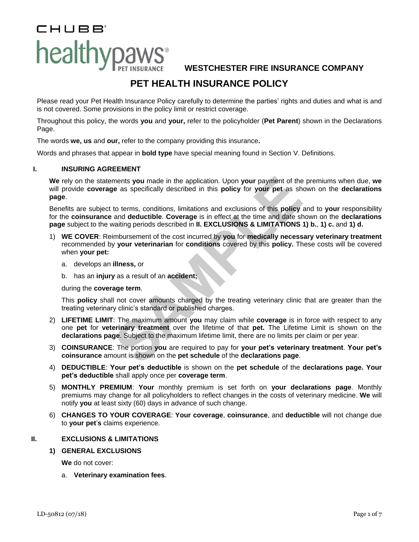# CHUBB® healthypaws<sup>®</sup>

**WESTCHESTER FIRE INSURANCE COMPANY**

# **PET HEALTH INSURANCE POLICY**

Please read your Pet Health Insurance Policy carefully to determine the parties' rights and duties and what is and is not covered. Some provisions in the policy limit or restrict coverage.

Throughout this policy, the words **you** and **your,** refer to the policyholder (**Pet Parent**) shown in the Declarations Page.

The words **we, us** and **our,** refer to the company providing this insurance**.**

Words and phrases that appear in **bold type** have special meaning found in Section V. Definitions.

# **I. INSURING AGREEMENT**

**We** rely on the statements **you** made in the application. Upon **your** payment of the premiums when due, **we** will provide **coverage** as specifically described in this **policy** for **your pet** as shown on the **declarations page**.

Benefits are subject to terms, conditions, limitations and exclusions of this **policy** and to **your** responsibility for the **coinsurance** and **deductible**. **Coverage** is in effect at the time and date shown on the **declarations page** subject to the waiting periods described in **II. EXCLUSIONS & LIMITATIONS 1) b.**, **1) c.** and **1) d.**

- ments you made in the application. Upon your payment of the<br> **SAMPLE ALT SET CONDETERT CONDETERT SETTER CONDEND**<br>
SAMPLE ALT SAMPLE CONSIDE SAMPLE TO CONDENSIBY And deductible. Coverage is in effect at the time and date sh 1) **WE COVER**: Reimbursement of the cost incurred by **you** for **medically necessary veterinary treatment** recommended by **your veterinarian** for **conditions** covered by this **policy.** These costs will be covered when **your pet:**
	- a. develops an **illness,** or
	- b. has an **injury** as a result of an **accident;**

#### during the **coverage term**.

This **policy** shall not cover amounts charged by the treating veterinary clinic that are greater than the treating veterinary clinic's standard or published charges.

- 2) **LIFETIME LIMIT**: The maximum amount **you** may claim while **coverage** is in force with respect to any one **pet** for **veterinary treatment** over the lifetime of that **pet.** The Lifetime Limit is shown on the **declarations page**. Subject to the maximum lifetime limit, there are no limits per claim or per year.
- 3) **COINSURANCE**: The portion **you** are required to pay for **your pet's veterinary treatment**. **Your pet's coinsurance** amount is shown on the **pet schedule** of the **declarations page**.
- 4) **DEDUCTIBLE**: **Your pet's deductible** is shown on the **pet schedule** of the **declarations page. Your pet's deductible** shall apply once per **coverage term**.
- 5) **MONTHLY PREMIUM**: **Your** monthly premium is set forth on **your declarations page**. Monthly premiums may change for all policyholders to reflect changes in the costs of veterinary medicine. **We** will notify **you** at least sixty (60) days in advance of such change.
- 6) **CHANGES TO YOUR COVERAGE**: **Your coverage**, **coinsurance**, and **deductible** will not change due to **your pet**'**s** claims experience.

# **II. EXCLUSIONS & LIMITATIONS**

#### **1) GENERAL EXCLUSIONS**

**We** do not cover:

a. **Veterinary examination fees**.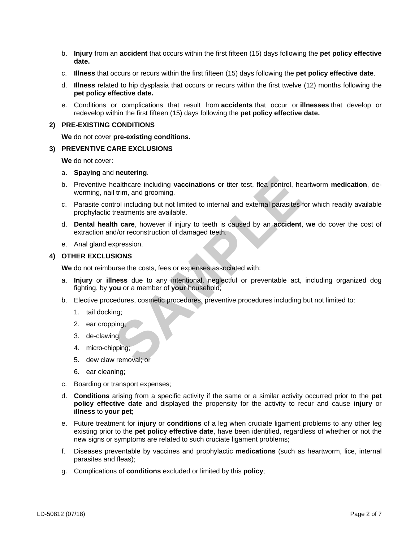- b. **Injury** from an **accident** that occurs within the first fifteen (15) days following the **pet policy effective date.**
- c. **Illness** that occurs or recurs within the first fifteen (15) days following the **pet policy effective date**.
- d. **Illness** related to hip dysplasia that occurs or recurs within the first twelve (12) months following the **pet policy effective date.**
- e. Conditions or complications that result from **accidents** that occur or **illnesses** that develop or redevelop within the first fifteen (15) days following the **pet policy effective date.**

## **2) PRE-EXISTING CONDITIONS**

**We** do not cover **pre-existing conditions.**

#### **3) PREVENTIVE CARE EXCLUSIONS**

**We** do not cover:

#### a. **Spaying** and **neutering**.

- ealthcare including **vaccinations** or titer test, flea control, he<br>
I trim, and grooming.<br>
trol including but not limited to internal and external parasites f<br>
treatments are available.<br> **SAMPLE ANCE ANCE ANCE ANCE ANCE AN** b. Preventive healthcare including **vaccinations** or titer test, flea control, heartworm **medication**, deworming, nail trim, and grooming.
- c. Parasite control including but not limited to internal and external parasites for which readily available prophylactic treatments are available.
- d. **Dental health care**, however if injury to teeth is caused by an **accident**, **we** do cover the cost of extraction and/or reconstruction of damaged teeth.
- e. Anal gland expression.

# **4) OTHER EXCLUSIONS**

**We** do not reimburse the costs, fees or expenses associated with:

- a. **Injury** or **illness** due to any intentional, neglectful or preventable act, including organized dog fighting, by **you** or a member of **your** household;
- b. Elective procedures, cosmetic procedures, preventive procedures including but not limited to:
	- 1. tail docking;
	- 2. ear cropping;
	- 3. de-clawing;
	- 4. micro-chipping;
	- 5. dew claw removal; or
	- 6. ear cleaning;
- c. Boarding or transport expenses;
- d. **Conditions** arising from a specific activity if the same or a similar activity occurred prior to the **pet policy effective date** and displayed the propensity for the activity to recur and cause **injury** or **illness** to **your pet**;
- e. Future treatment for **injury** or **conditions** of a leg when cruciate ligament problems to any other leg existing prior to the **pet policy effective date**, have been identified, regardless of whether or not the new signs or symptoms are related to such cruciate ligament problems;
- f. Diseases preventable by vaccines and prophylactic **medications** (such as heartworm, lice, internal parasites and fleas);
- g. Complications of **conditions** excluded or limited by this **policy**;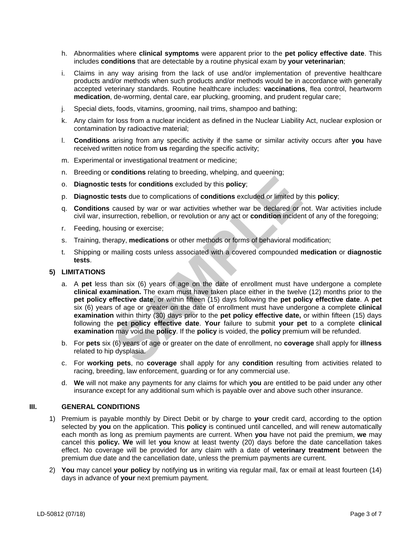- h. Abnormalities where **clinical symptoms** were apparent prior to the **pet policy effective date**. This includes **conditions** that are detectable by a routine physical exam by **your veterinarian**;
- i. Claims in any way arising from the lack of use and/or implementation of preventive healthcare products and/or methods when such products and/or methods would be in accordance with generally accepted veterinary standards. Routine healthcare includes: **vaccinations**, flea control, heartworm **medication**, de-worming, dental care, ear plucking, grooming, and prudent regular care;
- j. Special diets, foods, vitamins, grooming, nail trims, shampoo and bathing;
- k. Any claim for loss from a nuclear incident as defined in the Nuclear Liability Act, nuclear explosion or contamination by radioactive material;
- l. **Conditions** arising from any specific activity if the same or similar activity occurs after **you** have received written notice from **us** regarding the specific activity;
- m. Experimental or investigational treatment or medicine;
- n. Breeding or **conditions** relating to breeding, whelping, and queening;
- o. **Diagnostic tests** for **conditions** excluded by this **policy**;
- p. **Diagnostic tests** due to complications of **conditions** excluded or limited by this **policy**;
- q. **Conditions** caused by war or war activities whether war be declared or not. War activities include civil war, insurrection, rebellion, or revolution or any act or **condition** incident of any of the foregoing;
- r. Feeding, housing or exercise;
- s. Training, therapy, **medications** or other methods or forms of behavioral modification;
- t. Shipping or mailing costs unless associated with a covered compounded **medication** or **diagnostic tests**.

## **5) LIMITATIONS**

- **Example 15** for **conditions** excluded by this **policy**;<br> **SAMPLE ATTLE ATTLE ATTLE ATTLE ATTLE ATTLE ATTLE ATTLE ATTLE ATTLE ATTLE ATTLE ATTLE ATTLE SIMPLE THE SIMPLE THAND THE SIMPLE THAND THE SIMPLE THAND THAND THAND TH** a. A **pet** less than six (6) years of age on the date of enrollment must have undergone a complete **clinical examination.** The exam must have taken place either in the twelve (12) months prior to the **pet policy effective date**, or within fifteen (15) days following the **pet policy effective date**. A **pet** six (6) years of age or greater on the date of enrollment must have undergone a complete **clinical examination** within thirty (30) days prior to the **pet policy effective date,** or within fifteen (15) days following the **pet policy effective date**. **Your** failure to submit **your pet** to a complete **clinical examination** may void the **policy**. If the **policy** is voided, the **policy** premium will be refunded.
- b. For **pets** six (6) years of age or greater on the date of enrollment, no **coverage** shall apply for **illness** related to hip dysplasia.
- c. For **working pets**, no **coverage** shall apply for any **condition** resulting from activities related to racing, breeding, law enforcement, guarding or for any commercial use.
- d. **We** will not make any payments for any claims for which **you** are entitled to be paid under any other insurance except for any additional sum which is payable over and above such other insurance.

# **III. GENERAL CONDITIONS**

- 1) Premium is payable monthly by Direct Debit or by charge to **your** credit card, according to the option selected by **you** on the application. This **policy** is continued until cancelled, and will renew automatically each month as long as premium payments are current. When **you** have not paid the premium, **we** may cancel this **policy. We** will let **you** know at least twenty (20) days before the date cancellation takes effect. No coverage will be provided for any claim with a date of **veterinary treatment** between the premium due date and the cancellation date, unless the premium payments are current.
- 2) **You** may cancel **your policy** by notifying **us** in writing via regular mail, fax or email at least fourteen (14) days in advance of **your** next premium payment.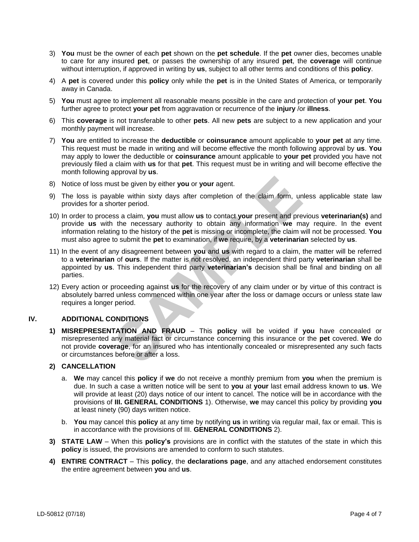- 3) **You** must be the owner of each **pet** shown on the **pet schedule**. If the **pet** owner dies, becomes unable to care for any insured **pet**, or passes the ownership of any insured **pet**, the **coverage** will continue without interruption, if approved in writing by **us**, subject to all other terms and conditions of this **policy**.
- 4) A **pet** is covered under this **policy** only while the **pet** is in the United States of America, or temporarily away in Canada.
- 5) **You** must agree to implement all reasonable means possible in the care and protection of **your pet**. **You** further agree to protect **your pet** from aggravation or recurrence of the **injury** /or **illness**.
- 6) This **coverage** is not transferable to other **pets**. All new **pets** are subject to a new application and your monthly payment will increase.
- 7) **You** are entitled to increase the **deductible** or **coinsurance** amount applicable to **your pet** at any time. This request must be made in writing and will become effective the month following approval by **us**. **You** may apply to lower the deductible or **coinsurance** amount applicable to **your pet** provided you have not previously filed a claim with **us** for that **pet**. This request must be in writing and will become effective the month following approval by **us**.
- 8) Notice of loss must be given by either **you** or **your** agent.
- 9) The loss is payable within sixty days after completion of the claim form, unless applicable state law provides for a shorter period.
- 10) In order to process a claim, **you** must allow **us** to contact **your** present and previous **veterinarian(s)** and provide **us** with the necessary authority to obtain any information **we** may require. In the event information relating to the history of the **pet** is missing or incomplete, the claim will not be processed. **You** must also agree to submit the **pet** to examination, if **we** require, by a **veterinarian** selected by **us**.
- 11) In the event of any disagreement between **you** and **us** with regard to a claim, the matter will be referred to a **veterinarian** of **ours**. If the matter is not resolved, an independent third party **veterinarian** shall be appointed by **us**. This independent third party **veterinarian's** decision shall be final and binding on all parties.
- 12) Every action or proceeding against **us** for the recovery of any claim under or by virtue of this contract is absolutely barred unless commenced within one year after the loss or damage occurs or unless state law requires a longer period.

# **IV. ADDITIONAL CONDITIONS**

In the given by either you or your agent.<br>
Stable within sixty days after completion of the claim form, und<br>
onter period.<br>
Sea a claim, you must allow us to contact your present and pre-<br>
the necessary authority to obtain **1) MISREPRESENTATION AND FRAUD** – This **policy** will be voided if **you** have concealed or misrepresented any material fact or circumstance concerning this insurance or the **pet** covered. **We** do not provide **coverage**, for an insured who has intentionally concealed or misrepresented any such facts or circumstances before or after a loss.

# **2) CANCELLATION**

- a. **We** may cancel this **policy** if **we** do not receive a monthly premium from **you** when the premium is due. In such a case a written notice will be sent to **you** at **your** last email address known to **us**. We will provide at least (20) days notice of our intent to cancel. The notice will be in accordance with the provisions of **III. GENERAL CONDITIONS** 1). Otherwise, **we** may cancel this policy by providing **you** at least ninety (90) days written notice.
- b. **You** may cancel this **policy** at any time by notifying **us** in writing via regular mail, fax or email. This is in accordance with the provisions of III. **GENERAL CONDITIONS** 2).
- **3) STATE LAW** When this **policy's** provisions are in conflict with the statutes of the state in which this **policy** is issued, the provisions are amended to conform to such statutes.
- **4) ENTIRE CONTRACT** This **policy**, the **declarations page**, and any attached endorsement constitutes the entire agreement between **you** and **us**.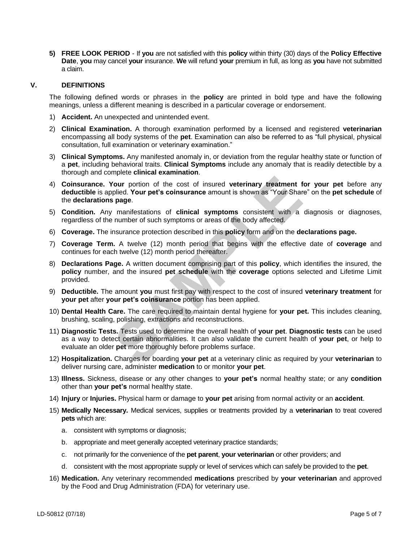**5) FREE LOOK PERIOD** - If **you** are not satisfied with this **policy** within thirty (30) days of the **Policy Effective Date**, **you** may cancel **your** insurance. **We** will refund **your** premium in full, as long as **you** have not submitted a claim.

# **V. DEFINITIONS**

The following defined words or phrases in the **policy** are printed in bold type and have the following meanings, unless a different meaning is described in a particular coverage or endorsement.

- 1) **Accident.** An unexpected and unintended event.
- 2) **Clinical Examination.** A thorough examination performed by a licensed and registered **veterinarian** encompassing all body systems of the **pet**. Examination can also be referred to as "full physical, physical consultation, full examination or veterinary examination."
- 3) **Clinical Symptoms.** Any manifested anomaly in, or deviation from the regular healthy state or function of a **pet**, including behavioral traits. **Clinical Symptoms** include any anomaly that is readily detectible by a thorough and complete **clinical examination**.
- our portion of the cost of insured veterinary treatment folied. Your pet's coinsurance amount is shown as "Your Share page.<br>
manifestations of clinical symptoms consistent with a number of such symptoms or areas of the bod 4) **Coinsurance. Your** portion of the cost of insured **veterinary treatment for your pet** before any **deductible** is applied. **Your pet's coinsurance** amount is shown as "Your Share" on the **pet schedule** of the **declarations page**.
- 5) **Condition.** Any manifestations of **clinical symptoms** consistent with a diagnosis or diagnoses, regardless of the number of such symptoms or areas of the body affected.
- 6) **Coverage.** The insurance protection described in this **policy** form and on the **declarations page.**
- 7) **Coverage Term.** A twelve (12) month period that begins with the effective date of **coverage** and continues for each twelve (12) month period thereafter.
- 8) **Declarations Page.** A written document comprising part of this **policy**, which identifies the insured, the **policy** number, and the insured **pet schedule** with the **coverage** options selected and Lifetime Limit provided.
- 9) **Deductible.** The amount **you** must first pay with respect to the cost of insured **veterinary treatment** for **your pet** after **your pet's coinsurance** portion has been applied.
- 10) **Dental Health Care.** The care required to maintain dental hygiene for **your pet.** This includes cleaning, brushing, scaling, polishing, extractions and reconstructions.
- 11) **Diagnostic Tests.** Tests used to determine the overall health of **your pet**. **Diagnostic tests** can be used as a way to detect certain abnormalities. It can also validate the current health of **your pet**, or help to evaluate an older **pet** more thoroughly before problems surface.
- 12) **Hospitalization.** Charges for boarding **your pet** at a veterinary clinic as required by your **veterinarian** to deliver nursing care, administer **medication** to or monitor **your pet**.
- 13) **Illness.** Sickness, disease or any other changes to **your pet's** normal healthy state; or any **condition** other than **your pet's** normal healthy state.
- 14) **Injury** or **Injuries.** Physical harm or damage to **your pet** arising from normal activity or an **accident**.
- 15) **Medically Necessary.** Medical services, supplies or treatments provided by a **veterinarian** to treat covered **pets** which are:
	- a. consistent with symptoms or diagnosis;
	- b. appropriate and meet generally accepted veterinary practice standards;
	- c. not primarily for the convenience of the **pet parent**, **your veterinarian** or other providers; and
	- d. consistent with the most appropriate supply or level of services which can safely be provided to the **pet**.
- 16) **Medication.** Any veterinary recommended **medications** prescribed by **your veterinarian** and approved by the Food and Drug Administration (FDA) for veterinary use.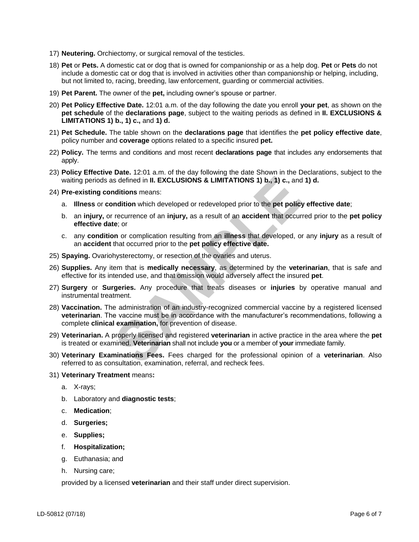- 17) **Neutering.** Orchiectomy, or surgical removal of the testicles.
- 18) **Pet** or **Pets.** A domestic cat or dog that is owned for companionship or as a help dog. **Pet** or **Pets** do not include a domestic cat or dog that is involved in activities other than companionship or helping, including, but not limited to, racing, breeding, law enforcement, guarding or commercial activities.
- 19) **Pet Parent.** The owner of the **pet,** including owner's spouse or partner.
- 20) **Pet Policy Effective Date.** 12:01 a.m. of the day following the date you enroll **your pet**, as shown on the **pet schedule** of the **declarations page**, subject to the waiting periods as defined in **II. EXCLUSIONS & LIMITATIONS 1) b., 1) c.,** and **1) d.**
- 21) **Pet Schedule.** The table shown on the **declarations page** that identifies the **pet policy effective date**, policy number and **coverage** options related to a specific insured **pet.**
- 22) **Policy.** The terms and conditions and most recent **declarations page** that includes any endorsements that apply.
- 23) **Policy Effective Date.** 12:01 a.m. of the day following the date Shown in the Declarations, subject to the waiting periods as defined in **II. EXCLUSIONS & LIMITATIONS 1) b., 1) c.,** and **1) d.**
- 24) **Pre-existing conditions** means:
	- a. **Illness** or **condition** which developed or redeveloped prior to the **pet policy effective date**;
	- b. an **injury,** or recurrence of an **injury,** as a result of an **accident** that occurred prior to the **pet policy effective date**; or
	- c. any **condition** or complication resulting from an **illness** that developed, or any **injury** as a result of an **accident** that occurred prior to the **pet policy effective date.**
- 25) **Spaying.** Ovariohysterectomy, or resection of the ovaries and uterus.
- 26) **Supplies.** Any item that is **medically necessary**, as determined by the **veterinarian**, that is safe and effective for its intended use, and that omission would adversely affect the insured **pet**.
- 27) **Surgery** or **Surgeries.** Any procedure that treats diseases or **injuries** by operative manual and instrumental treatment.
- is defined in II. EXCLUSIONS & LIMITATIONS 1) b., 1) c., and<br>
nditions means:<br>
mdition which developed or redeveloped prior to the pet policy<br>
recurrence of an injury, as a result of an accident that occurre<br>
te; or<br>
no ro 28) **Vaccination.** The administration of an industry-recognized commercial vaccine by a registered licensed **veterinarian**. The vaccine must be in accordance with the manufacturer's recommendations, following a complete **clinical examination,** for prevention of disease.
- 29) **Veterinarian.** A properly licensed and registered **veterinarian** in active practice in the area where the **pet** is treated or examined. **Veterinarian** shall not include **you** or a member of **your** immediate family.
- 30) **Veterinary Examinations Fees.** Fees charged for the professional opinion of a **veterinarian**. Also referred to as consultation, examination, referral, and recheck fees.
- 31) **Veterinary Treatment** means**:**
	- a. X-rays;
	- b. Laboratory and **diagnostic tests**;
	- c. **Medication**;
	- d. **Surgeries;**
	- e. **Supplies;**
	- f. **Hospitalization;**
	- g. Euthanasia; and
	- h. Nursing care;

provided by a licensed **veterinarian** and their staff under direct supervision.